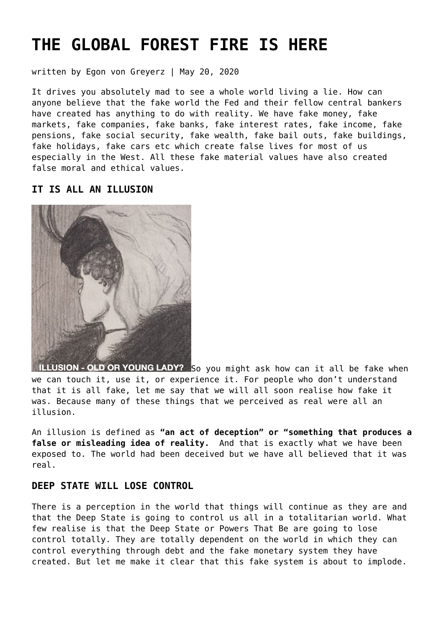# **[THE GLOBAL FOREST FIRE IS HERE](https://goldswitzerland.com/the-global-forest-fire-is-here/)**

written by Egon von Greyerz | May 20, 2020

It drives you absolutely mad to see a whole world living a lie. How can anyone believe that the fake world the Fed and their fellow central bankers have created has anything to do with reality. We have fake money, fake markets, fake companies, fake banks, fake interest rates, fake income, fake pensions, fake social security, fake wealth, fake bail outs, fake buildings, fake holidays, fake cars etc which create false lives for most of us especially in the West. All these fake material values have also created false moral and ethical values.

## **IT IS ALL AN ILLUSION**



ILLUSION - OLD OR YOUNG LADY? So you might ask how can it all be fake when we can touch it, use it, or experience it. For people who don't understand that it is all fake, let me say that we will all soon realise how fake it was. Because many of these things that we perceived as real were all an illusion.

An illusion is defined as **"an act of deception" or "something that produces a false or misleading idea of reality.** And that is exactly what we have been exposed to. The world had been deceived but we have all believed that it was real.

# **DEEP STATE WILL LOSE CONTROL**

There is a perception in the world that things will continue as they are and that the Deep State is going to control us all in a totalitarian world. What few realise is that the Deep State or Powers That Be are going to lose control totally. They are totally dependent on the world in which they can control everything through debt and the fake monetary system they have created. But let me make it clear that this fake system is about to implode.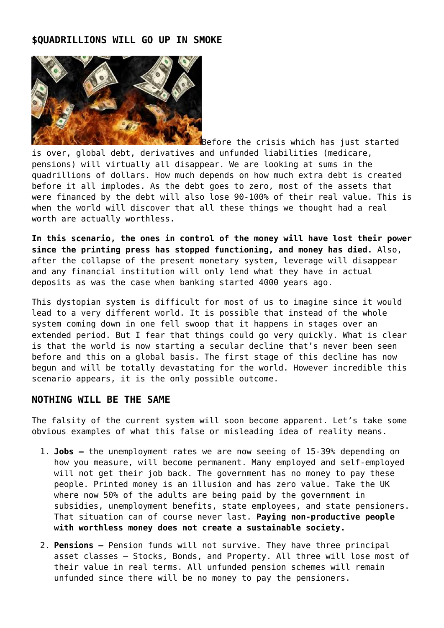# **\$QUADRILLIONS WILL GO UP IN SMOKE**



Before the crisis which has just started is over, global debt, derivatives and unfunded liabilities (medicare, pensions) will virtually all disappear. We are looking at sums in the quadrillions of dollars. How much depends on how much extra debt is created before it all implodes. As the debt goes to zero, most of the assets that were financed by the debt will also lose 90-100% of their real value. This is when the world will discover that all these things we thought had a real worth are actually worthless.

**In this scenario, the ones in control of the money will have lost their power since the printing press has stopped functioning, and money has died.** Also, after the collapse of the present monetary system, leverage will disappear and any financial institution will only lend what they have in actual deposits as was the case when banking started 4000 years ago.

This dystopian system is difficult for most of us to imagine since it would lead to a very different world. It is possible that instead of the whole system coming down in one fell swoop that it happens in stages over an extended period. But I fear that things could go very quickly. What is clear is that the world is now starting a secular decline that's never been seen before and this on a global basis. The first stage of this decline has now begun and will be totally devastating for the world. However incredible this scenario appears, it is the only possible outcome.

## **NOTHING WILL BE THE SAME**

The falsity of the current system will soon become apparent. Let's take some obvious examples of what this false or misleading idea of reality means.

- 1. **Jobs** the unemployment rates we are now seeing of 15-39% depending on how you measure, will become permanent. Many employed and self-employed will not get their job back. The government has no money to pay these people. Printed money is an illusion and has zero value. Take the UK where now 50% of the adults are being paid by the government in subsidies, unemployment benefits, state employees, and state pensioners. That situation can of course never last. **Paying non-productive people with worthless money does not create a sustainable society.**
- 2. **Pensions** Pension funds will not survive. They have three principal asset classes – Stocks, Bonds, and Property. All three will lose most of their value in real terms. All unfunded pension schemes will remain unfunded since there will be no money to pay the pensioners.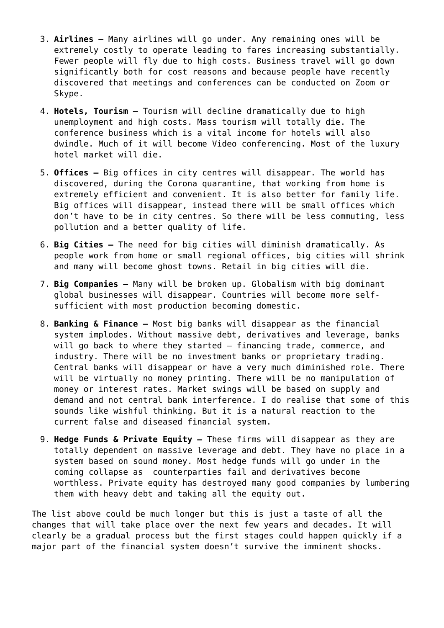- 3. **Airlines** Many airlines will go under. Any remaining ones will be extremely costly to operate leading to fares increasing substantially. Fewer people will fly due to high costs. Business travel will go down significantly both for cost reasons and because people have recently discovered that meetings and conferences can be conducted on Zoom or Skype.
- 4. **Hotels, Tourism** Tourism will decline dramatically due to high unemployment and high costs. Mass tourism will totally die. The conference business which is a vital income for hotels will also dwindle. Much of it will become Video conferencing. Most of the luxury hotel market will die.
- 5. **Offices** Big offices in city centres will disappear. The world has discovered, during the Corona quarantine, that working from home is extremely efficient and convenient. It is also better for family life. Big offices will disappear, instead there will be small offices which don't have to be in city centres. So there will be less commuting, less pollution and a better quality of life.
- 6. **Big Cities** The need for big cities will diminish dramatically. As people work from home or small regional offices, big cities will shrink and many will become ghost towns. Retail in big cities will die.
- 7. **Big Companies** Many will be broken up. Globalism with big dominant global businesses will disappear. Countries will become more selfsufficient with most production becoming domestic.
- 8. **Banking & Finance** Most big banks will disappear as the financial system implodes. Without massive debt, derivatives and leverage, banks will go back to where they started – financing trade, commerce, and industry. There will be no investment banks or proprietary trading. Central banks will disappear or have a very much diminished role. There will be virtually no money printing. There will be no manipulation of money or interest rates. Market swings will be based on supply and demand and not central bank interference. I do realise that some of this sounds like wishful thinking. But it is a natural reaction to the current false and diseased financial system.
- 9. **Hedge Funds & Private Equity** These firms will disappear as they are totally dependent on massive leverage and debt. They have no place in a system based on sound money. Most hedge funds will go under in the coming collapse as counterparties fail and derivatives become worthless. Private equity has destroyed many good companies by lumbering them with heavy debt and taking all the equity out.

The list above could be much longer but this is just a taste of all the changes that will take place over the next few years and decades. It will clearly be a gradual process but the first stages could happen quickly if a major part of the financial system doesn't survive the imminent shocks.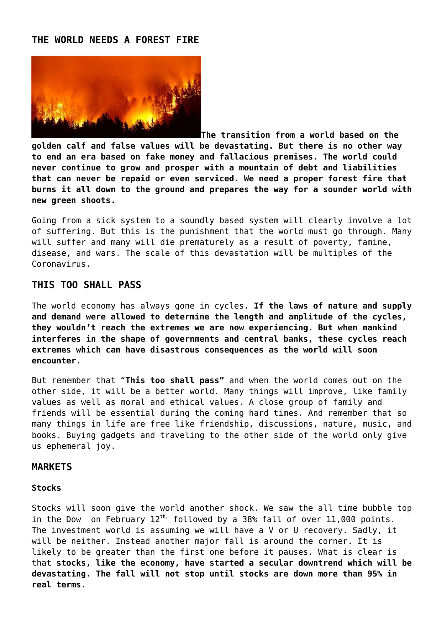#### **THE WORLD NEEDS A FOREST FIRE**



**The transition from a world based on the golden calf and false values will be devastating. But there is no other way to end an era based on fake money and fallacious premises. The world could never continue to grow and prosper with a mountain of debt and liabilities that can never be repaid or even serviced. We need a proper forest fire that burns it all down to the ground and prepares the way for a sounder world with new green shoots.**

Going from a sick system to a soundly based system will clearly involve a lot of suffering. But this is the punishment that the world must go through. Many will suffer and many will die prematurely as a result of poverty, famine, disease, and wars. The scale of this devastation will be multiples of the Coronavirus.

### **THIS TOO SHALL PASS**

The world economy has always gone in cycles. **If the laws of nature and supply and demand were allowed to determine the length and amplitude of the cycles, they wouldn't reach the extremes we are now experiencing. But when mankind interferes in the shape of governments and central banks, these cycles reach extremes which can have disastrous consequences as the world will soon encounter.**

But remember that "**This too shall pass"** and when the world comes out on the other side, it will be a better world. Many things will improve, like family values as well as moral and ethical values. A close group of family and friends will be essential during the coming hard times. And remember that so many things in life are free like friendship, discussions, nature, music, and books. Buying gadgets and traveling to the other side of the world only give us ephemeral joy.

#### **MARKETS**

#### **Stocks**

Stocks will soon give the world another shock. We saw the all time bubble top in the Dow on February  $12^{th}$ , followed by a 38% fall of over  $11,000$  points. The investment world is assuming we will have a V or U recovery. Sadly, it will be neither. Instead another major fall is around the corner. It is likely to be greater than the first one before it pauses. What is clear is that **stocks, like the economy, have started a secular downtrend which will be devastating. The fall will not stop until stocks are down more than 95% in real terms.**